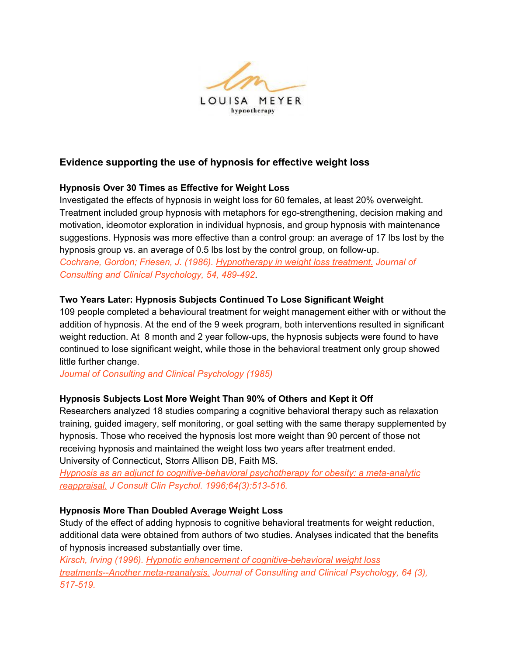

# **Evidence supporting the use of hypnosis for effective weight loss**

## **Hypnosis Over 30 Times as Effective for Weight Loss**

Investigated the effects of hypnosis in weight loss for 60 females, at least 20% overweight. Treatment included group hypnosis with metaphors for ego-strengthening, decision making and motivation, ideomotor exploration in individual hypnosis, and group hypnosis with maintenance suggestions. Hypnosis was more effective than a control group: an average of 17 lbs lost by the hypnosis group vs. an average of 0.5 lbs lost by the control group, on follow-up. *Cochrane, Gordon; Friesen, J. (1986). Hypnotherapy in weight loss treatment. Journal of Consulting and Clinical Psychology, 54, 489-492*.

## **Two Years Later: Hypnosis Subjects Continued To Lose Significant Weight**

109 people completed a behavioural treatment for weight management either with or without the addition of hypnosis. At the end of the 9 week program, both interventions resulted in significant weight reduction. At 8 month and 2 year follow-ups, the hypnosis subjects were found to have continued to lose significant weight, while those in the behavioral treatment only group showed little further change.

*Journal of Consulting and Clinical Psychology (1985)*

#### **Hypnosis Subjects Lost More Weight Than 90% of Others and Kept it Off**

Researchers analyzed 18 studies comparing a cognitive behavioral therapy such as relaxation training, guided imagery, self monitoring, or goal setting with the same therapy supplemented by hypnosis. Those who received the hypnosis lost more weight than 90 percent of those not receiving hypnosis and maintained the weight loss two years after treatment ended. University of Connecticut, Storrs Allison DB, Faith MS.

*Hypnosis as an adjunct to cognitive-behavioral psychotherapy for obesity: a meta-analytic reappraisal. J Consult Clin Psychol. 1996;64(3):513-516.*

#### **Hypnosis More Than Doubled Average Weight Loss**

Study of the effect of adding hypnosis to cognitive behavioral treatments for weight reduction, additional data were obtained from authors of two studies. Analyses indicated that the benefits of hypnosis increased substantially over time.

*Kirsch, Irving (1996). Hypnotic enhancement of cognitive-behavioral weight loss treatments--Another meta-reanalysis. Journal of Consulting and Clinical Psychology, 64 (3), 517-519.*